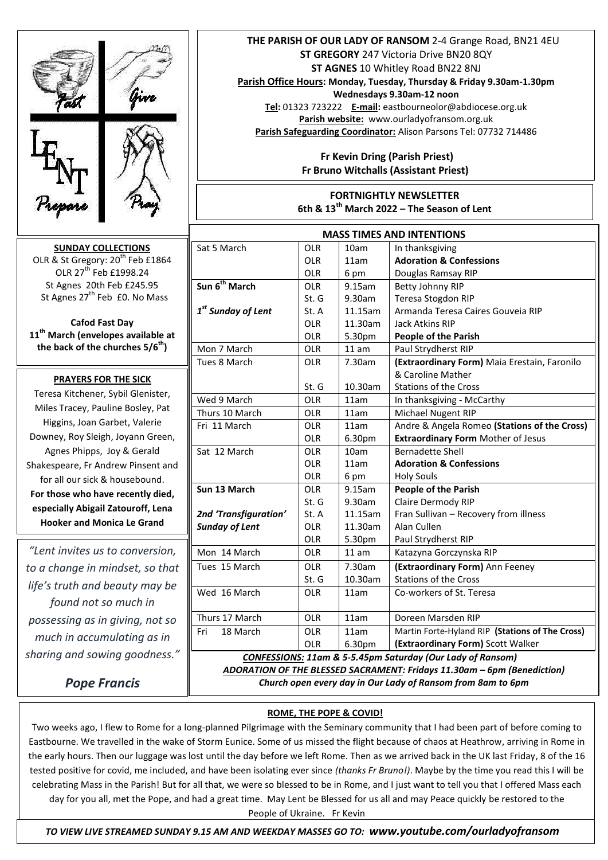

*Pope Francis*

## **ROME, THE POPE & COVID!**

Two weeks ago, I flew to Rome for a long-planned Pilgrimage with the Seminary community that I had been part of before coming to Eastbourne. We travelled in the wake of Storm Eunice. Some of us missed the flight because of chaos at Heathrow, arriving in Rome in the early hours. Then our luggage was lost until the day before we left Rome. Then as we arrived back in the UK last Friday, 8 of the 16 tested positive for covid, me included, and have been isolating ever since *(thanks Fr Bruno!)*. Maybe by the time you read this I will be celebrating Mass in the Parish! But for all that, we were so blessed to be in Rome, and I just want to tell you that I offered Mass each day for you all, met the Pope, and had a great time. May Lent be Blessed for us all and may Peace quickly be restored to the People of Ukraine. Fr Kevin

 *TO VIEW LIVE STREAMED SUNDAY 9.15 AM AND WEEKDAY MASSES GO TO: www.youtube.com/ourladyofransom*